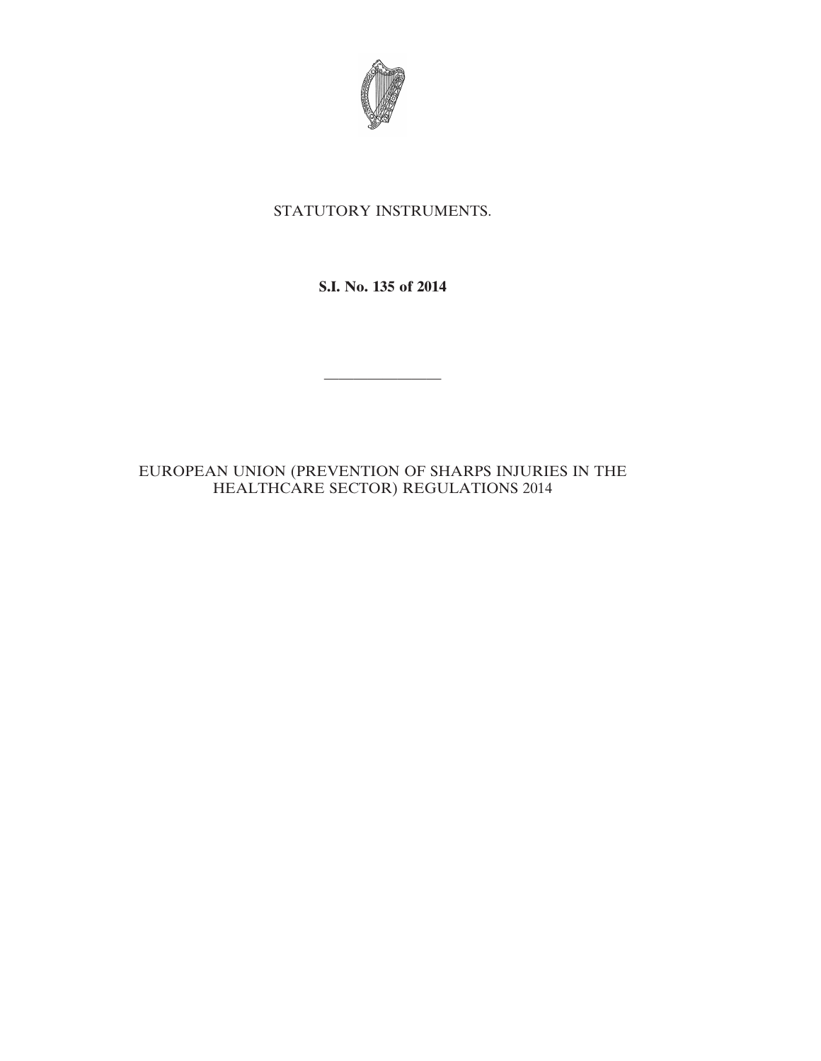

# STATUTORY INSTRUMENTS.

**S.I. No. 135 of 2014**

————————

# EUROPEAN UNION (PREVENTION OF SHARPS INJURIES IN THE HEALTHCARE SECTOR) REGULATIONS 2014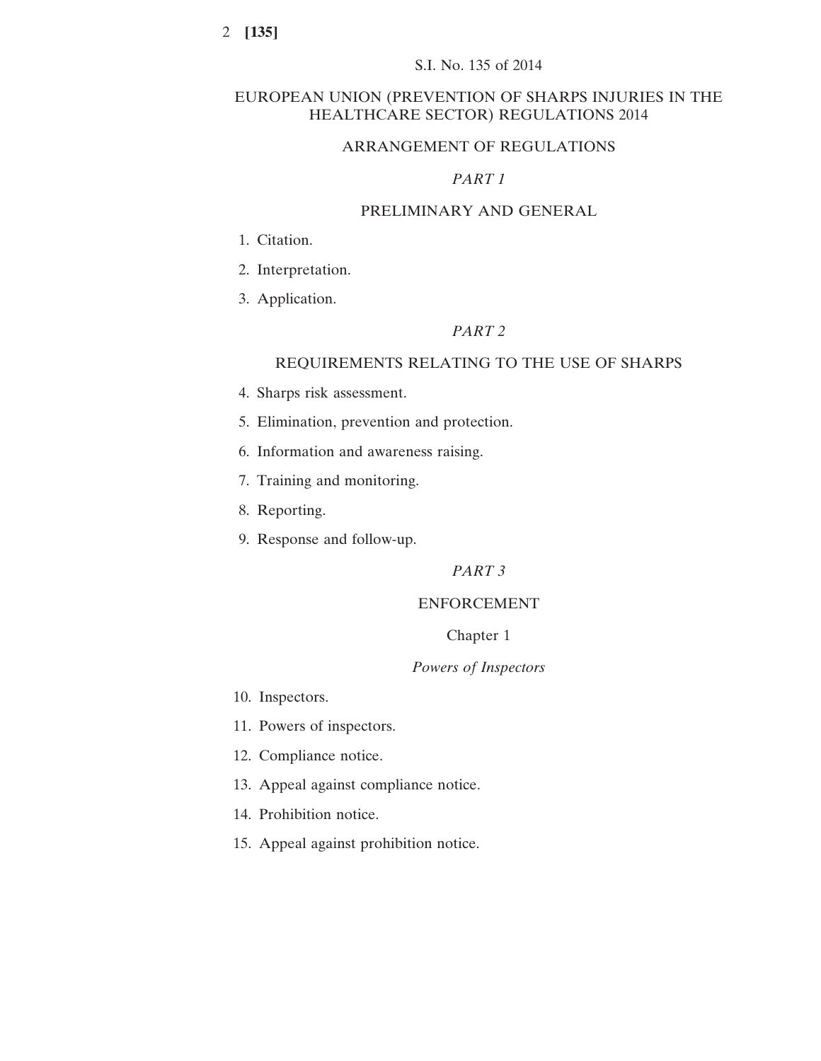# EUROPEAN UNION (PREVENTION OF SHARPS INJURIES IN THE HEALTHCARE SECTOR) REGULATIONS 2014

# ARRANGEMENT OF REGULATIONS

# *PART 1*

# PRELIMINARY AND GENERAL

- 1. Citation.
- 2. Interpretation.
- 3. Application.

# *PART 2*

# REQUIREMENTS RELATING TO THE USE OF SHARPS

- 4. Sharps risk assessment.
- 5. Elimination, prevention and protection.
- 6. Information and awareness raising.
- 7. Training and monitoring.
- 8. Reporting.
- 9. Response and follow-up.

*PART 3*

## ENFORCEMENT

## Chapter 1

# *Powers of Inspectors*

- 10. Inspectors.
- 11. Powers of inspectors.
- 12. Compliance notice.
- 13. Appeal against compliance notice.
- 14. Prohibition notice.
- 15. Appeal against prohibition notice.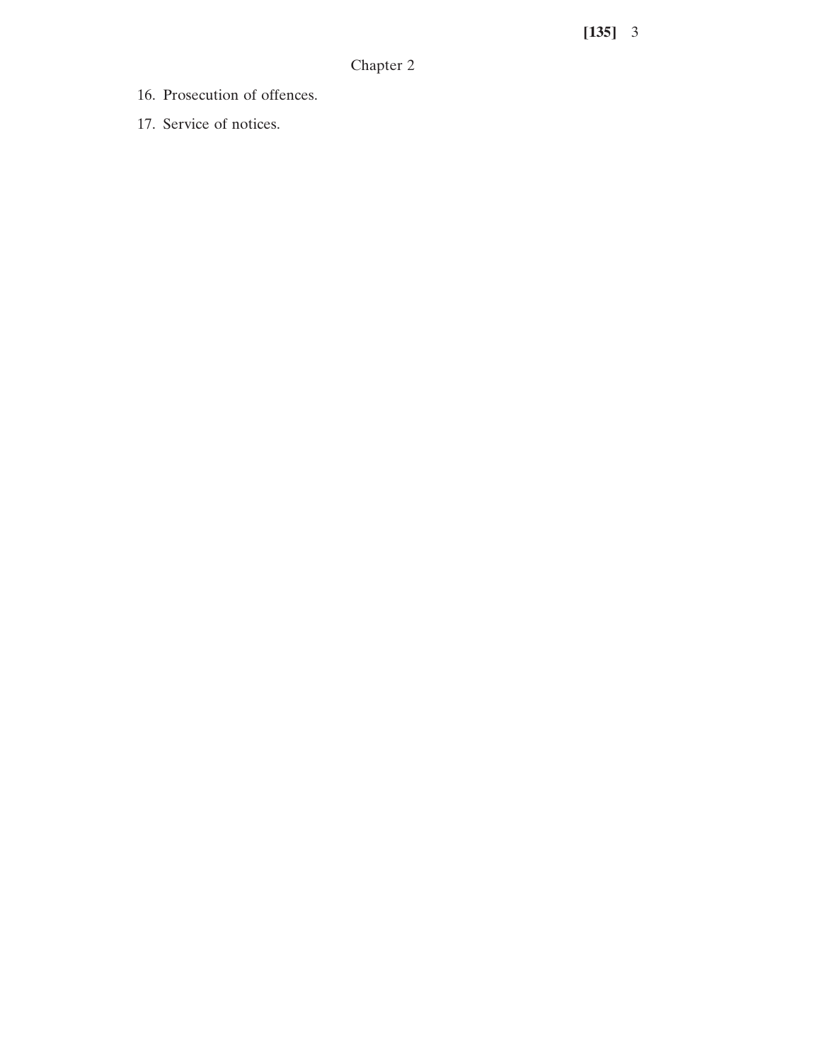Chapter 2

- 16. Prosecution of offences.
- 17. Service of notices.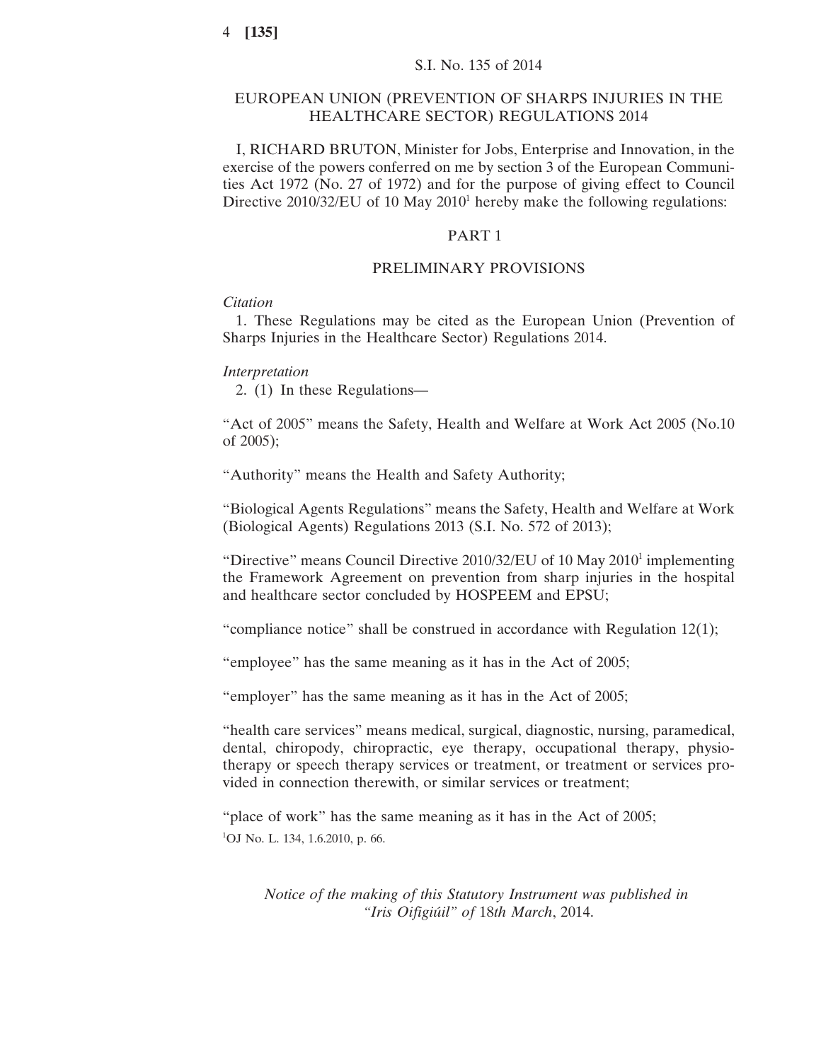## EUROPEAN UNION (PREVENTION OF SHARPS INJURIES IN THE HEALTHCARE SECTOR) REGULATIONS 2014

I, RICHARD BRUTON, Minister for Jobs, Enterprise and Innovation, in the exercise of the powers conferred on me by section 3 of the European Communities Act 1972 (No. 27 of 1972) and for the purpose of giving effect to Council Directive  $2010/32/EU$  of 10 May  $2010<sup>1</sup>$  hereby make the following regulations:

# PART 1

# PRELIMINARY PROVISIONS

## *Citation*

1. These Regulations may be cited as the European Union (Prevention of Sharps Injuries in the Healthcare Sector) Regulations 2014.

# *Interpretation*

2. (1) In these Regulations—

"Act of 2005" means the Safety, Health and Welfare at Work Act 2005 (No.10 of 2005);

"Authority" means the Health and Safety Authority;

"Biological Agents Regulations" means the Safety, Health and Welfare at Work (Biological Agents) Regulations 2013 (S.I. No. 572 of 2013);

"Directive" means Council Directive  $2010/32/EU$  of 10 May  $2010<sup>1</sup>$  implementing the Framework Agreement on prevention from sharp injuries in the hospital and healthcare sector concluded by HOSPEEM and EPSU;

"compliance notice" shall be construed in accordance with Regulation 12(1);

"employee" has the same meaning as it has in the Act of 2005;

"employer" has the same meaning as it has in the Act of 2005;

"health care services" means medical, surgical, diagnostic, nursing, paramedical, dental, chiropody, chiropractic, eye therapy, occupational therapy, physiotherapy or speech therapy services or treatment, or treatment or services provided in connection therewith, or similar services or treatment;

"place of work" has the same meaning as it has in the Act of 2005; <sup>1</sup>OJ No. L. 134, 1.6.2010, p. 66.

*Notice of the making of this Statutory Instrument was published in "Iris Oifigiúil" of* 18*th March*, 2014.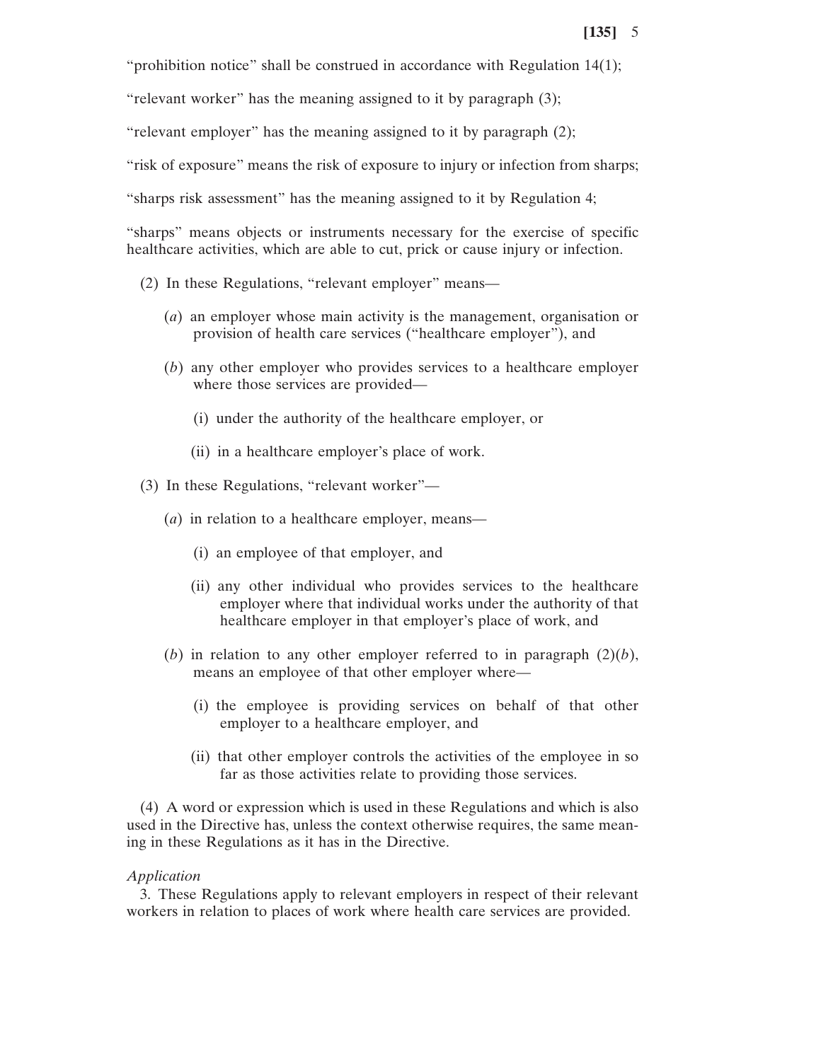"prohibition notice" shall be construed in accordance with Regulation 14(1);

"relevant worker" has the meaning assigned to it by paragraph (3);

"relevant employer" has the meaning assigned to it by paragraph (2);

"risk of exposure" means the risk of exposure to injury or infection from sharps;

"sharps risk assessment" has the meaning assigned to it by Regulation 4;

"sharps" means objects or instruments necessary for the exercise of specific healthcare activities, which are able to cut, prick or cause injury or infection.

- (2) In these Regulations, "relevant employer" means—
	- (*a*) an employer whose main activity is the management, organisation or provision of health care services ("healthcare employer"), and
	- (*b*) any other employer who provides services to a healthcare employer where those services are provided—
		- (i) under the authority of the healthcare employer, or
		- (ii) in a healthcare employer's place of work.
- (3) In these Regulations, "relevant worker"—
	- (*a*) in relation to a healthcare employer, means—
		- (i) an employee of that employer, and
		- (ii) any other individual who provides services to the healthcare employer where that individual works under the authority of that healthcare employer in that employer's place of work, and
	- (*b*) in relation to any other employer referred to in paragraph  $(2)(b)$ , means an employee of that other employer where—
		- (i) the employee is providing services on behalf of that other employer to a healthcare employer, and
		- (ii) that other employer controls the activities of the employee in so far as those activities relate to providing those services.

(4) A word or expression which is used in these Regulations and which is also used in the Directive has, unless the context otherwise requires, the same meaning in these Regulations as it has in the Directive.

### *Application*

3. These Regulations apply to relevant employers in respect of their relevant workers in relation to places of work where health care services are provided.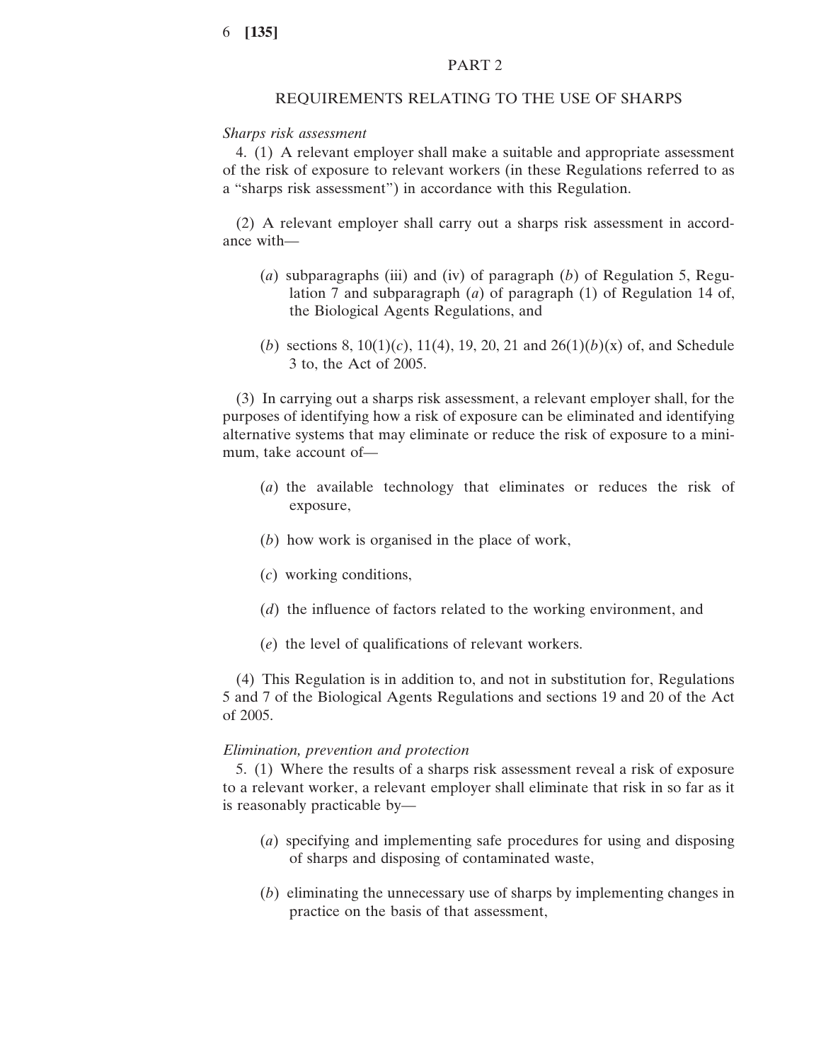## PART 2

#### REQUIREMENTS RELATING TO THE USE OF SHARPS

#### *Sharps risk assessment*

4. (1) A relevant employer shall make a suitable and appropriate assessment of the risk of exposure to relevant workers (in these Regulations referred to as a "sharps risk assessment") in accordance with this Regulation.

(2) A relevant employer shall carry out a sharps risk assessment in accordance with—

- (*a*) subparagraphs (iii) and (iv) of paragraph (*b*) of Regulation 5, Regulation 7 and subparagraph (*a*) of paragraph (1) of Regulation 14 of, the Biological Agents Regulations, and
- (*b*) sections 8, 10(1)(*c*), 11(4), 19, 20, 21 and 26(1)(*b*)(x) of, and Schedule 3 to, the Act of 2005.

(3) In carrying out a sharps risk assessment, a relevant employer shall, for the purposes of identifying how a risk of exposure can be eliminated and identifying alternative systems that may eliminate or reduce the risk of exposure to a minimum, take account of—

- (*a*) the available technology that eliminates or reduces the risk of exposure,
- (*b*) how work is organised in the place of work,
- (*c*) working conditions,
- (*d*) the influence of factors related to the working environment, and
- (*e*) the level of qualifications of relevant workers.

(4) This Regulation is in addition to, and not in substitution for, Regulations 5 and 7 of the Biological Agents Regulations and sections 19 and 20 of the Act of 2005.

## *Elimination, prevention and protection*

5. (1) Where the results of a sharps risk assessment reveal a risk of exposure to a relevant worker, a relevant employer shall eliminate that risk in so far as it is reasonably practicable by—

- (*a*) specifying and implementing safe procedures for using and disposing of sharps and disposing of contaminated waste,
- (*b*) eliminating the unnecessary use of sharps by implementing changes in practice on the basis of that assessment,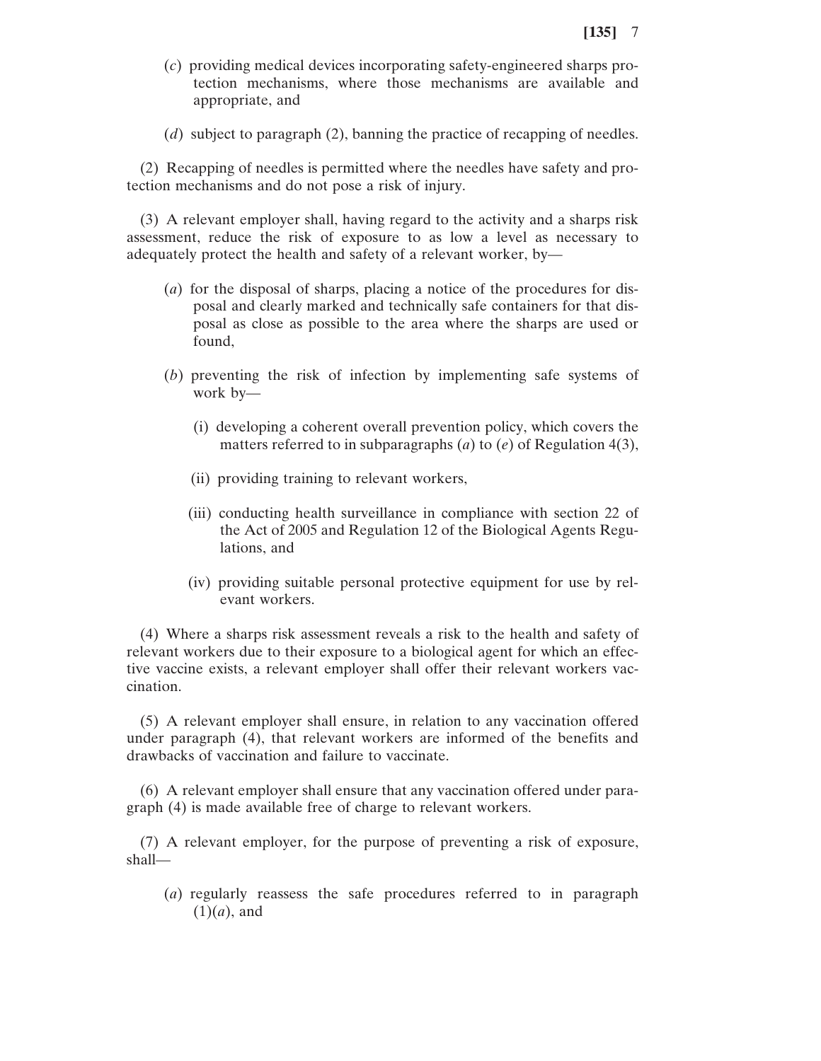- (*c*) providing medical devices incorporating safety-engineered sharps protection mechanisms, where those mechanisms are available and appropriate, and
- (*d*) subject to paragraph (2), banning the practice of recapping of needles.

(2) Recapping of needles is permitted where the needles have safety and protection mechanisms and do not pose a risk of injury.

(3) A relevant employer shall, having regard to the activity and a sharps risk assessment, reduce the risk of exposure to as low a level as necessary to adequately protect the health and safety of a relevant worker, by—

- (*a*) for the disposal of sharps, placing a notice of the procedures for disposal and clearly marked and technically safe containers for that disposal as close as possible to the area where the sharps are used or found,
- (*b*) preventing the risk of infection by implementing safe systems of work by—
	- (i) developing a coherent overall prevention policy, which covers the matters referred to in subparagraphs (*a*) to (*e*) of Regulation 4(3),
	- (ii) providing training to relevant workers,
	- (iii) conducting health surveillance in compliance with section 22 of the Act of 2005 and Regulation 12 of the Biological Agents Regulations, and
	- (iv) providing suitable personal protective equipment for use by relevant workers.

(4) Where a sharps risk assessment reveals a risk to the health and safety of relevant workers due to their exposure to a biological agent for which an effective vaccine exists, a relevant employer shall offer their relevant workers vaccination.

(5) A relevant employer shall ensure, in relation to any vaccination offered under paragraph (4), that relevant workers are informed of the benefits and drawbacks of vaccination and failure to vaccinate.

(6) A relevant employer shall ensure that any vaccination offered under paragraph (4) is made available free of charge to relevant workers.

(7) A relevant employer, for the purpose of preventing a risk of exposure, shall—

(*a*) regularly reassess the safe procedures referred to in paragraph (1)(*a*), and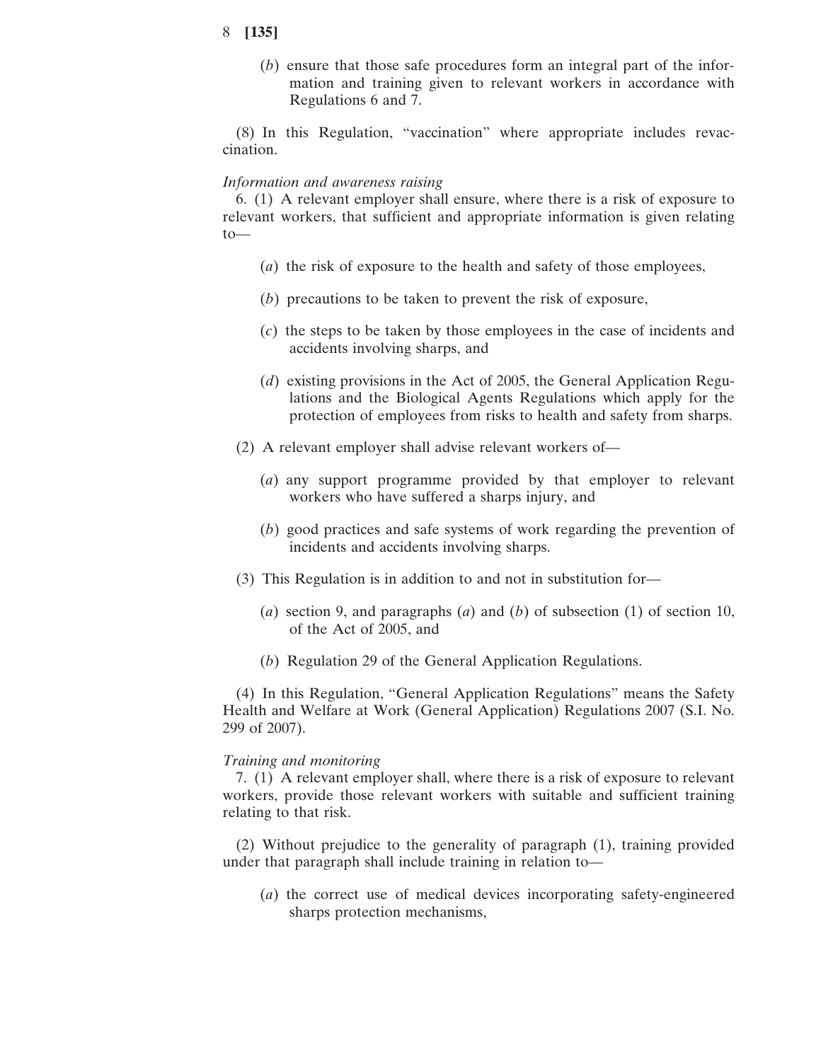(*b*) ensure that those safe procedures form an integral part of the information and training given to relevant workers in accordance with Regulations 6 and 7.

(8) In this Regulation, "vaccination" where appropriate includes revaccination.

#### *Information and awareness raising*

6. (1) A relevant employer shall ensure, where there is a risk of exposure to relevant workers, that sufficient and appropriate information is given relating to—

- (*a*) the risk of exposure to the health and safety of those employees,
- (*b*) precautions to be taken to prevent the risk of exposure,
- (*c*) the steps to be taken by those employees in the case of incidents and accidents involving sharps, and
- (*d*) existing provisions in the Act of 2005, the General Application Regulations and the Biological Agents Regulations which apply for the protection of employees from risks to health and safety from sharps.
- (2) A relevant employer shall advise relevant workers of—
	- (*a*) any support programme provided by that employer to relevant workers who have suffered a sharps injury, and
	- (*b*) good practices and safe systems of work regarding the prevention of incidents and accidents involving sharps.
- (3) This Regulation is in addition to and not in substitution for—
	- (*a*) section 9, and paragraphs (*a*) and (*b*) of subsection (1) of section 10, of the Act of 2005, and
	- (*b*) Regulation 29 of the General Application Regulations.

(4) In this Regulation, "General Application Regulations" means the Safety Health and Welfare at Work (General Application) Regulations 2007 (S.I. No. 299 of 2007).

## *Training and monitoring*

7. (1) A relevant employer shall, where there is a risk of exposure to relevant workers, provide those relevant workers with suitable and sufficient training relating to that risk.

(2) Without prejudice to the generality of paragraph (1), training provided under that paragraph shall include training in relation to—

(*a*) the correct use of medical devices incorporating safety-engineered sharps protection mechanisms,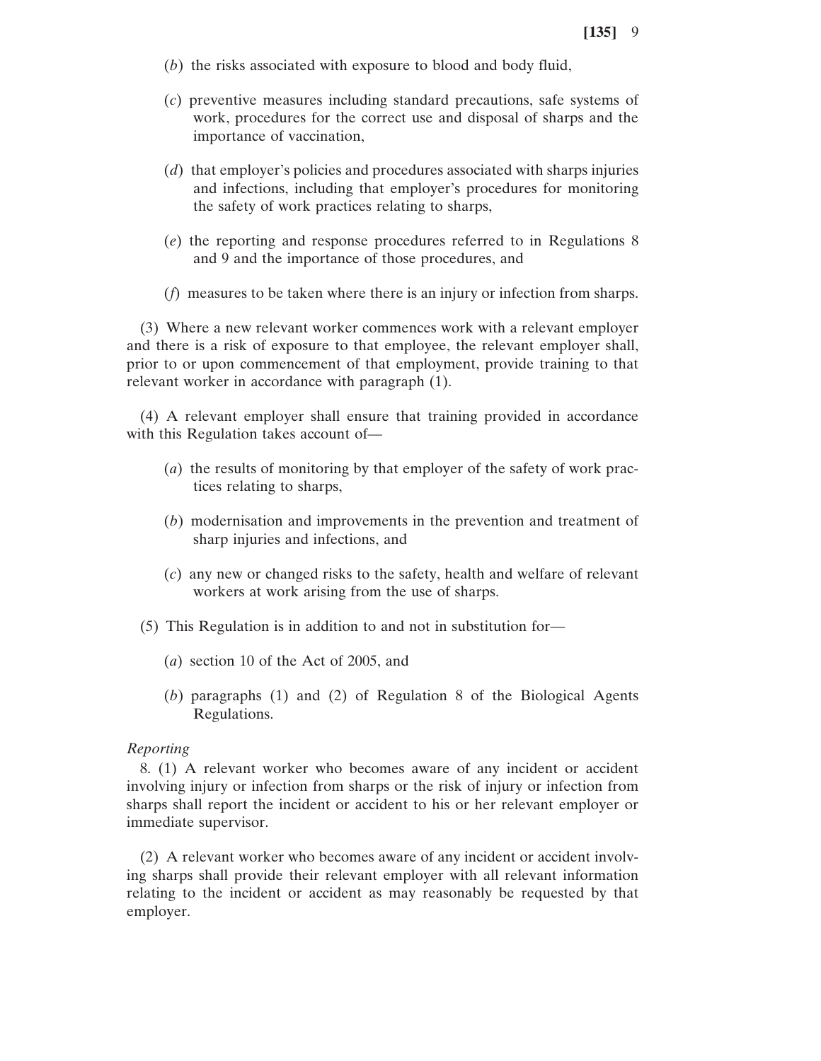- (*b*) the risks associated with exposure to blood and body fluid,
- (*c*) preventive measures including standard precautions, safe systems of work, procedures for the correct use and disposal of sharps and the importance of vaccination,
- (*d*) that employer's policies and procedures associated with sharps injuries and infections, including that employer's procedures for monitoring the safety of work practices relating to sharps,
- (*e*) the reporting and response procedures referred to in Regulations 8 and 9 and the importance of those procedures, and
- (*f*) measures to be taken where there is an injury or infection from sharps.

(3) Where a new relevant worker commences work with a relevant employer and there is a risk of exposure to that employee, the relevant employer shall, prior to or upon commencement of that employment, provide training to that relevant worker in accordance with paragraph (1).

(4) A relevant employer shall ensure that training provided in accordance with this Regulation takes account of—

- (*a*) the results of monitoring by that employer of the safety of work practices relating to sharps,
- (*b*) modernisation and improvements in the prevention and treatment of sharp injuries and infections, and
- (*c*) any new or changed risks to the safety, health and welfare of relevant workers at work arising from the use of sharps.
- (5) This Regulation is in addition to and not in substitution for—
	- (*a*) section 10 of the Act of 2005, and
	- (*b*) paragraphs (1) and (2) of Regulation 8 of the Biological Agents Regulations.

#### *Reporting*

8. (1) A relevant worker who becomes aware of any incident or accident involving injury or infection from sharps or the risk of injury or infection from sharps shall report the incident or accident to his or her relevant employer or immediate supervisor.

(2) A relevant worker who becomes aware of any incident or accident involving sharps shall provide their relevant employer with all relevant information relating to the incident or accident as may reasonably be requested by that employer.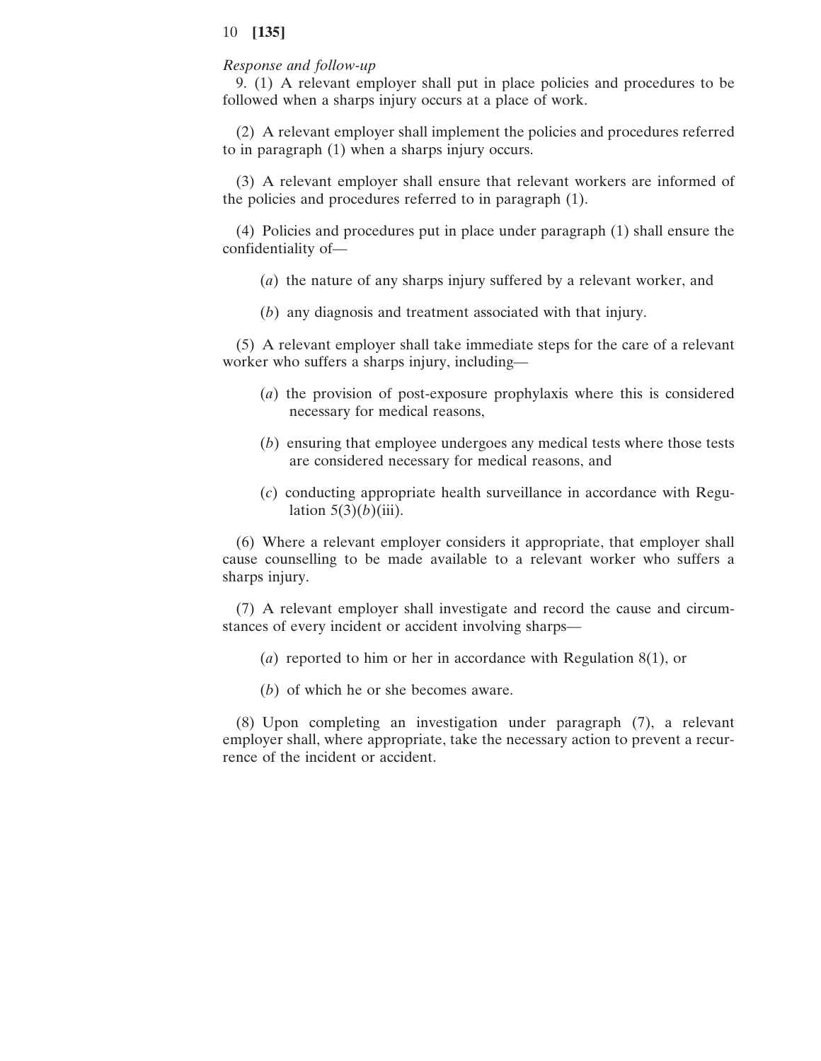## *Response and follow-up*

9. (1) A relevant employer shall put in place policies and procedures to be followed when a sharps injury occurs at a place of work.

(2) A relevant employer shall implement the policies and procedures referred to in paragraph (1) when a sharps injury occurs.

(3) A relevant employer shall ensure that relevant workers are informed of the policies and procedures referred to in paragraph (1).

(4) Policies and procedures put in place under paragraph (1) shall ensure the confidentiality of—

- (*a*) the nature of any sharps injury suffered by a relevant worker, and
- (*b*) any diagnosis and treatment associated with that injury.

(5) A relevant employer shall take immediate steps for the care of a relevant worker who suffers a sharps injury, including—

- (*a*) the provision of post-exposure prophylaxis where this is considered necessary for medical reasons,
- (*b*) ensuring that employee undergoes any medical tests where those tests are considered necessary for medical reasons, and
- (*c*) conducting appropriate health surveillance in accordance with Regulation  $5(3)(b)$ (iii).

(6) Where a relevant employer considers it appropriate, that employer shall cause counselling to be made available to a relevant worker who suffers a sharps injury.

(7) A relevant employer shall investigate and record the cause and circumstances of every incident or accident involving sharps—

- (*a*) reported to him or her in accordance with Regulation 8(1), or
- (*b*) of which he or she becomes aware.

(8) Upon completing an investigation under paragraph (7), a relevant employer shall, where appropriate, take the necessary action to prevent a recurrence of the incident or accident.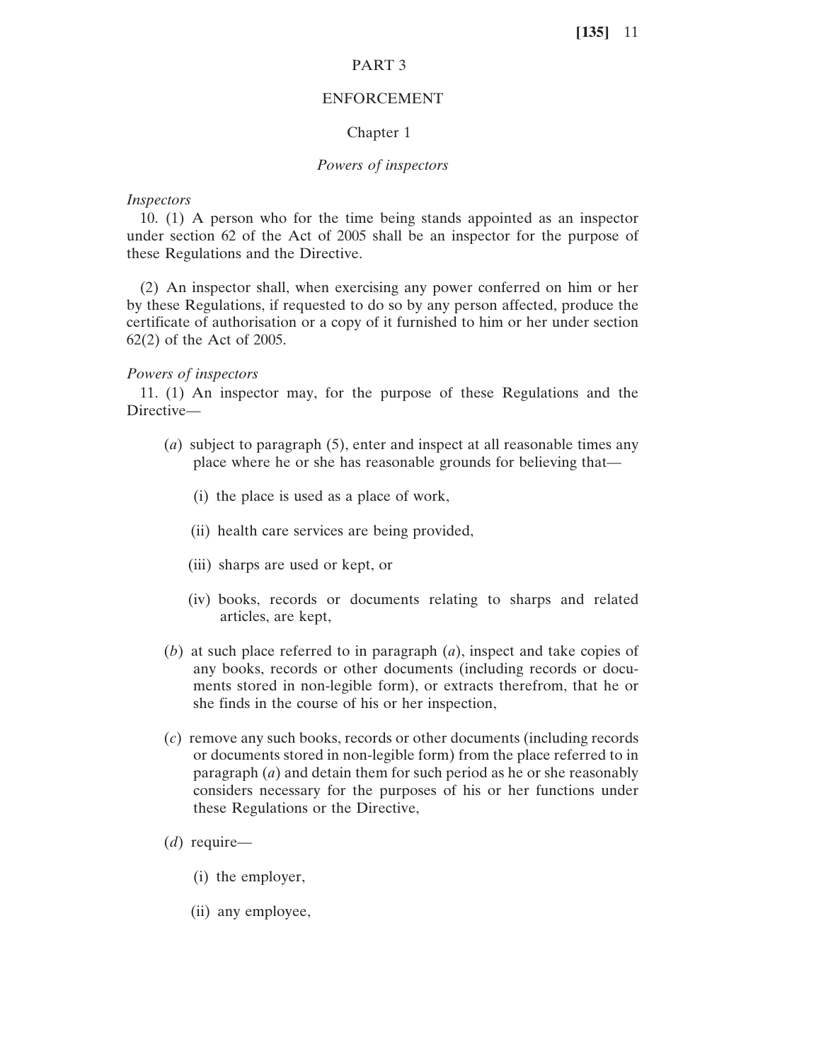# PART 3

#### ENFORCEMENT

### Chapter 1

#### *Powers of inspectors*

#### *Inspectors*

10. (1) A person who for the time being stands appointed as an inspector under section 62 of the Act of 2005 shall be an inspector for the purpose of these Regulations and the Directive.

(2) An inspector shall, when exercising any power conferred on him or her by these Regulations, if requested to do so by any person affected, produce the certificate of authorisation or a copy of it furnished to him or her under section 62(2) of the Act of 2005.

#### *Powers of inspectors*

11. (1) An inspector may, for the purpose of these Regulations and the Directive—

- (*a*) subject to paragraph (5), enter and inspect at all reasonable times any place where he or she has reasonable grounds for believing that—
	- (i) the place is used as a place of work,
	- (ii) health care services are being provided,
	- (iii) sharps are used or kept, or
	- (iv) books, records or documents relating to sharps and related articles, are kept,
- (*b*) at such place referred to in paragraph (*a*), inspect and take copies of any books, records or other documents (including records or documents stored in non-legible form), or extracts therefrom, that he or she finds in the course of his or her inspection,
- (*c*) remove any such books, records or other documents (including records or documents stored in non-legible form) from the place referred to in paragraph (*a*) and detain them for such period as he or she reasonably considers necessary for the purposes of his or her functions under these Regulations or the Directive,
- (*d*) require—
	- (i) the employer,
	- (ii) any employee,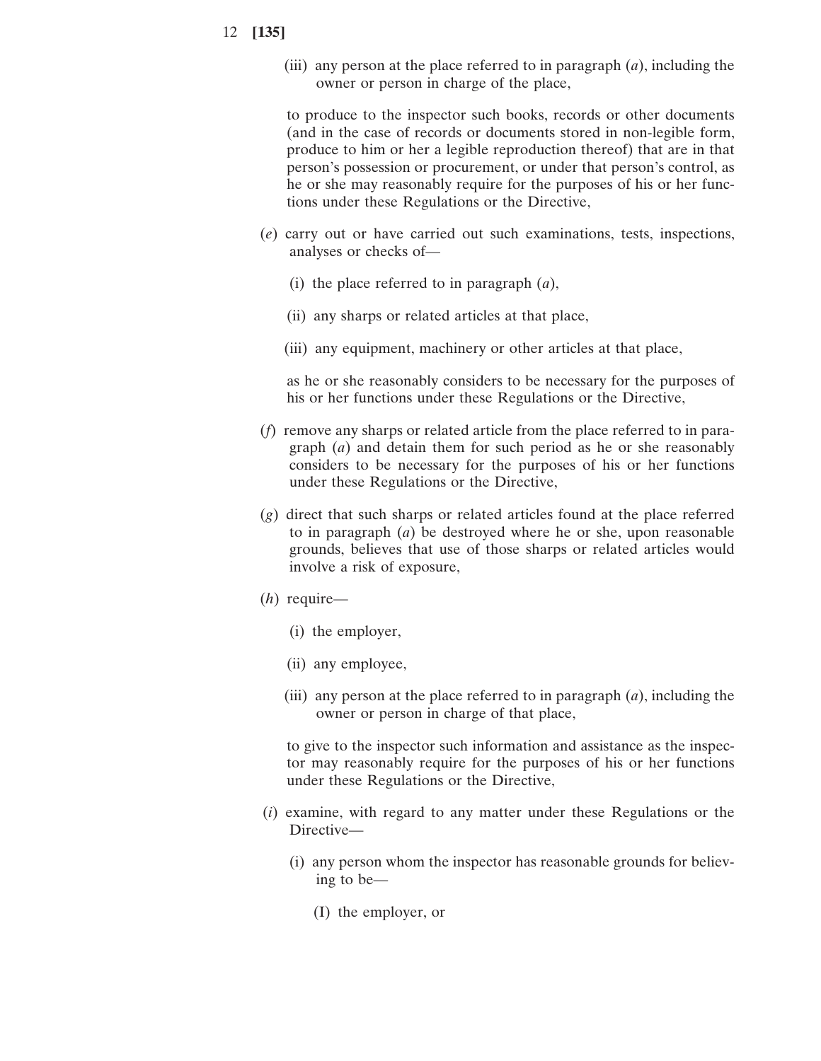(iii) any person at the place referred to in paragraph (*a*), including the owner or person in charge of the place,

to produce to the inspector such books, records or other documents (and in the case of records or documents stored in non-legible form, produce to him or her a legible reproduction thereof) that are in that person's possession or procurement, or under that person's control, as he or she may reasonably require for the purposes of his or her functions under these Regulations or the Directive,

- (*e*) carry out or have carried out such examinations, tests, inspections, analyses or checks of—
	- (i) the place referred to in paragraph (*a*),
	- (ii) any sharps or related articles at that place,
	- (iii) any equipment, machinery or other articles at that place,

as he or she reasonably considers to be necessary for the purposes of his or her functions under these Regulations or the Directive,

- (*f*) remove any sharps or related article from the place referred to in paragraph (*a*) and detain them for such period as he or she reasonably considers to be necessary for the purposes of his or her functions under these Regulations or the Directive,
- (*g*) direct that such sharps or related articles found at the place referred to in paragraph (*a*) be destroyed where he or she, upon reasonable grounds, believes that use of those sharps or related articles would involve a risk of exposure,
- (*h*) require—
	- (i) the employer,
	- (ii) any employee,
	- (iii) any person at the place referred to in paragraph (*a*), including the owner or person in charge of that place,

to give to the inspector such information and assistance as the inspector may reasonably require for the purposes of his or her functions under these Regulations or the Directive,

- (*i*) examine, with regard to any matter under these Regulations or the Directive—
	- (i) any person whom the inspector has reasonable grounds for believing to be—
		- (I) the employer, or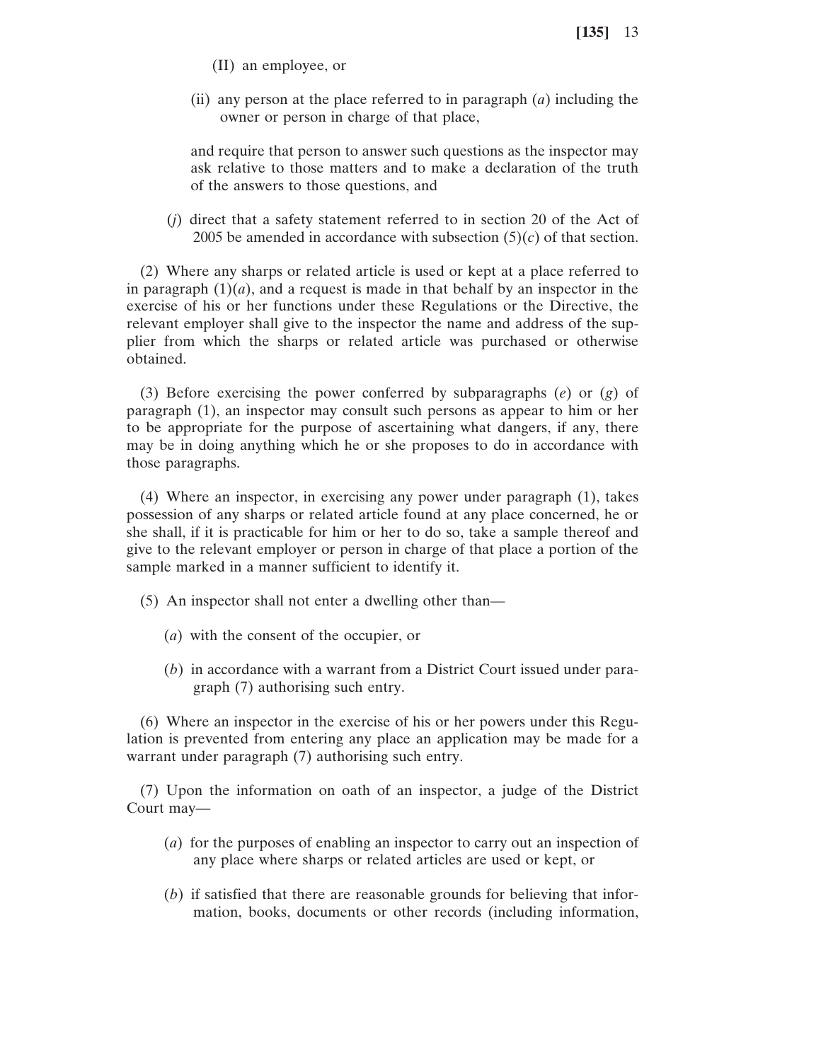- (II) an employee, or
- (ii) any person at the place referred to in paragraph (*a*) including the owner or person in charge of that place,

and require that person to answer such questions as the inspector may ask relative to those matters and to make a declaration of the truth of the answers to those questions, and

(*j*) direct that a safety statement referred to in section 20 of the Act of 2005 be amended in accordance with subsection  $(5)(c)$  of that section.

(2) Where any sharps or related article is used or kept at a place referred to in paragraph  $(1)(a)$ , and a request is made in that behalf by an inspector in the exercise of his or her functions under these Regulations or the Directive, the relevant employer shall give to the inspector the name and address of the supplier from which the sharps or related article was purchased or otherwise obtained.

(3) Before exercising the power conferred by subparagraphs (*e*) or (*g*) of paragraph (1), an inspector may consult such persons as appear to him or her to be appropriate for the purpose of ascertaining what dangers, if any, there may be in doing anything which he or she proposes to do in accordance with those paragraphs.

(4) Where an inspector, in exercising any power under paragraph (1), takes possession of any sharps or related article found at any place concerned, he or she shall, if it is practicable for him or her to do so, take a sample thereof and give to the relevant employer or person in charge of that place a portion of the sample marked in a manner sufficient to identify it.

- (5) An inspector shall not enter a dwelling other than—
	- (*a*) with the consent of the occupier, or
	- (*b*) in accordance with a warrant from a District Court issued under paragraph (7) authorising such entry.

(6) Where an inspector in the exercise of his or her powers under this Regulation is prevented from entering any place an application may be made for a warrant under paragraph (7) authorising such entry.

(7) Upon the information on oath of an inspector, a judge of the District Court may—

- (*a*) for the purposes of enabling an inspector to carry out an inspection of any place where sharps or related articles are used or kept, or
- (*b*) if satisfied that there are reasonable grounds for believing that information, books, documents or other records (including information,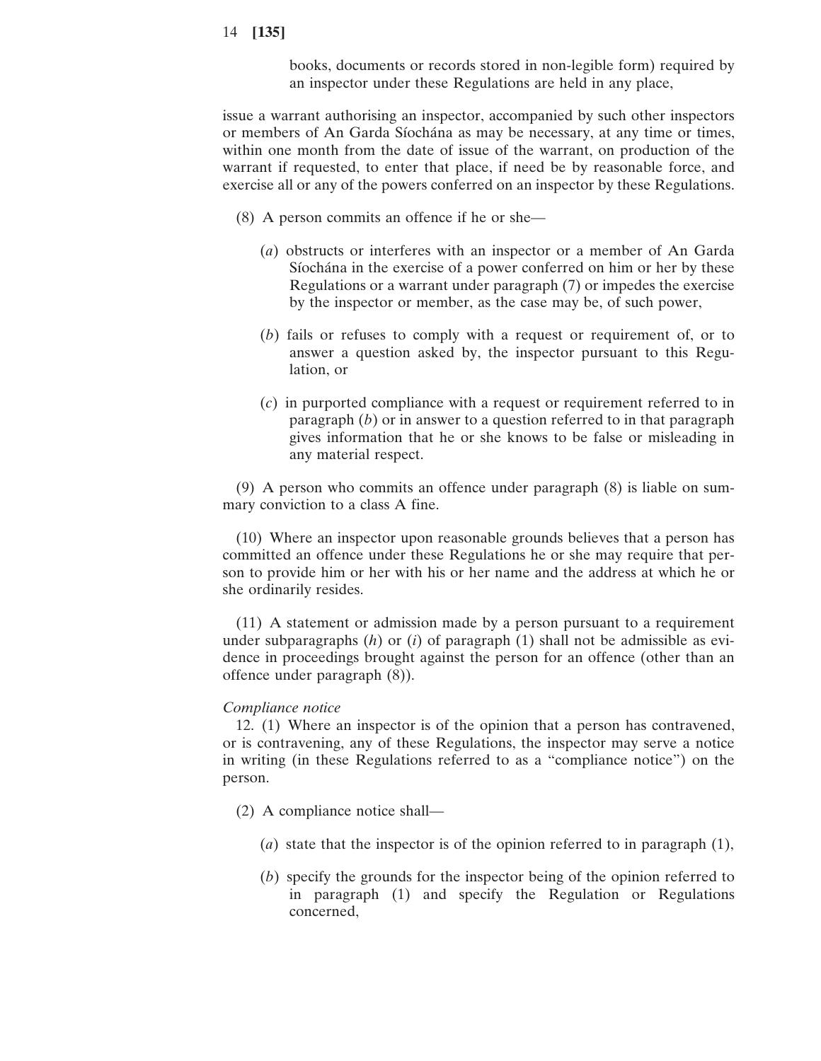books, documents or records stored in non-legible form) required by an inspector under these Regulations are held in any place,

issue a warrant authorising an inspector, accompanied by such other inspectors or members of An Garda Síochána as may be necessary, at any time or times, within one month from the date of issue of the warrant, on production of the warrant if requested, to enter that place, if need be by reasonable force, and exercise all or any of the powers conferred on an inspector by these Regulations.

- (8) A person commits an offence if he or she—
	- (*a*) obstructs or interferes with an inspector or a member of An Garda Síochána in the exercise of a power conferred on him or her by these Regulations or a warrant under paragraph (7) or impedes the exercise by the inspector or member, as the case may be, of such power,
	- (*b*) fails or refuses to comply with a request or requirement of, or to answer a question asked by, the inspector pursuant to this Regulation, or
	- (*c*) in purported compliance with a request or requirement referred to in paragraph (*b*) or in answer to a question referred to in that paragraph gives information that he or she knows to be false or misleading in any material respect.

(9) A person who commits an offence under paragraph (8) is liable on summary conviction to a class A fine.

(10) Where an inspector upon reasonable grounds believes that a person has committed an offence under these Regulations he or she may require that person to provide him or her with his or her name and the address at which he or she ordinarily resides.

(11) A statement or admission made by a person pursuant to a requirement under subparagraphs (*h*) or (*i*) of paragraph (1) shall not be admissible as evidence in proceedings brought against the person for an offence (other than an offence under paragraph (8)).

### *Compliance notice*

12. (1) Where an inspector is of the opinion that a person has contravened, or is contravening, any of these Regulations, the inspector may serve a notice in writing (in these Regulations referred to as a "compliance notice") on the person.

- (2) A compliance notice shall—
	- (*a*) state that the inspector is of the opinion referred to in paragraph (1),
	- (*b*) specify the grounds for the inspector being of the opinion referred to in paragraph (1) and specify the Regulation or Regulations concerned,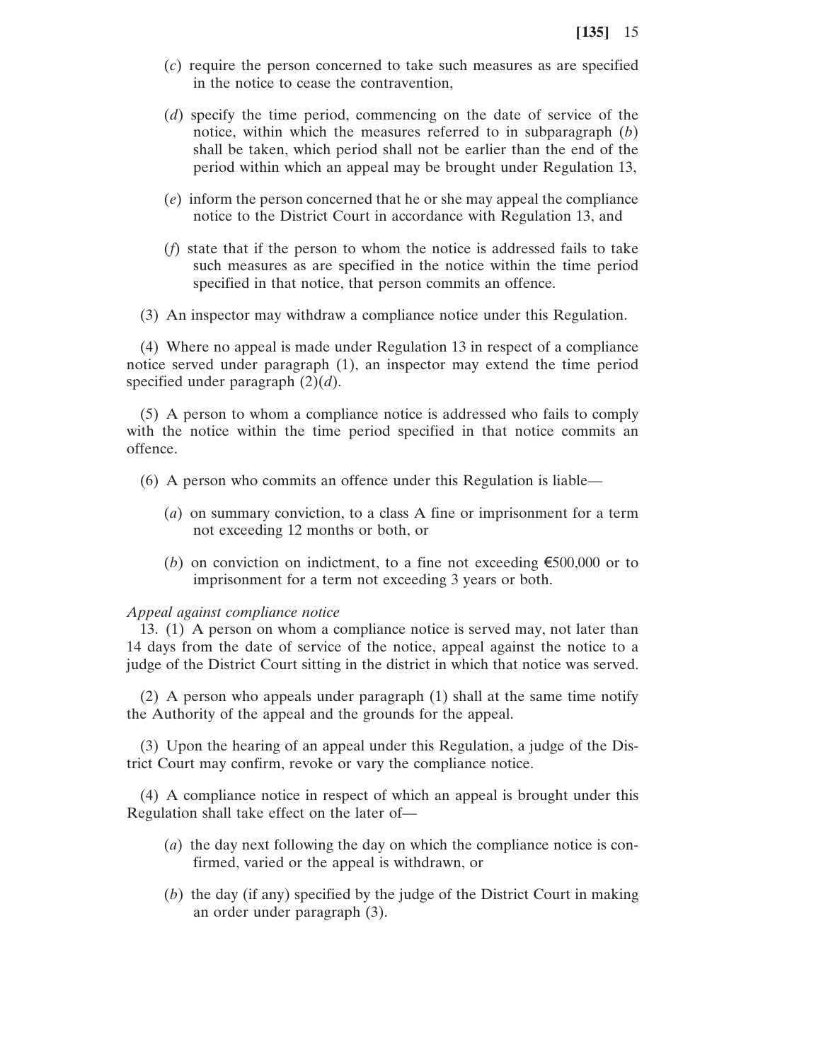- (*c*) require the person concerned to take such measures as are specified in the notice to cease the contravention,
- (*d*) specify the time period, commencing on the date of service of the notice, within which the measures referred to in subparagraph (*b*) shall be taken, which period shall not be earlier than the end of the period within which an appeal may be brought under Regulation 13,
- (*e*) inform the person concerned that he or she may appeal the compliance notice to the District Court in accordance with Regulation 13, and
- (*f*) state that if the person to whom the notice is addressed fails to take such measures as are specified in the notice within the time period specified in that notice, that person commits an offence.
- (3) An inspector may withdraw a compliance notice under this Regulation.

(4) Where no appeal is made under Regulation 13 in respect of a compliance notice served under paragraph (1), an inspector may extend the time period specified under paragraph (2)(*d*).

(5) A person to whom a compliance notice is addressed who fails to comply with the notice within the time period specified in that notice commits an offence.

- (6) A person who commits an offence under this Regulation is liable—
	- (*a*) on summary conviction, to a class A fine or imprisonment for a term not exceeding 12 months or both, or
	- (*b*) on conviction on indictment, to a fine not exceeding  $\epsilon$ 500,000 or to imprisonment for a term not exceeding 3 years or both.

#### *Appeal against compliance notice*

13. (1) A person on whom a compliance notice is served may, not later than 14 days from the date of service of the notice, appeal against the notice to a judge of the District Court sitting in the district in which that notice was served.

(2) A person who appeals under paragraph (1) shall at the same time notify the Authority of the appeal and the grounds for the appeal.

(3) Upon the hearing of an appeal under this Regulation, a judge of the District Court may confirm, revoke or vary the compliance notice.

(4) A compliance notice in respect of which an appeal is brought under this Regulation shall take effect on the later of—

- (*a*) the day next following the day on which the compliance notice is confirmed, varied or the appeal is withdrawn, or
- (*b*) the day (if any) specified by the judge of the District Court in making an order under paragraph (3).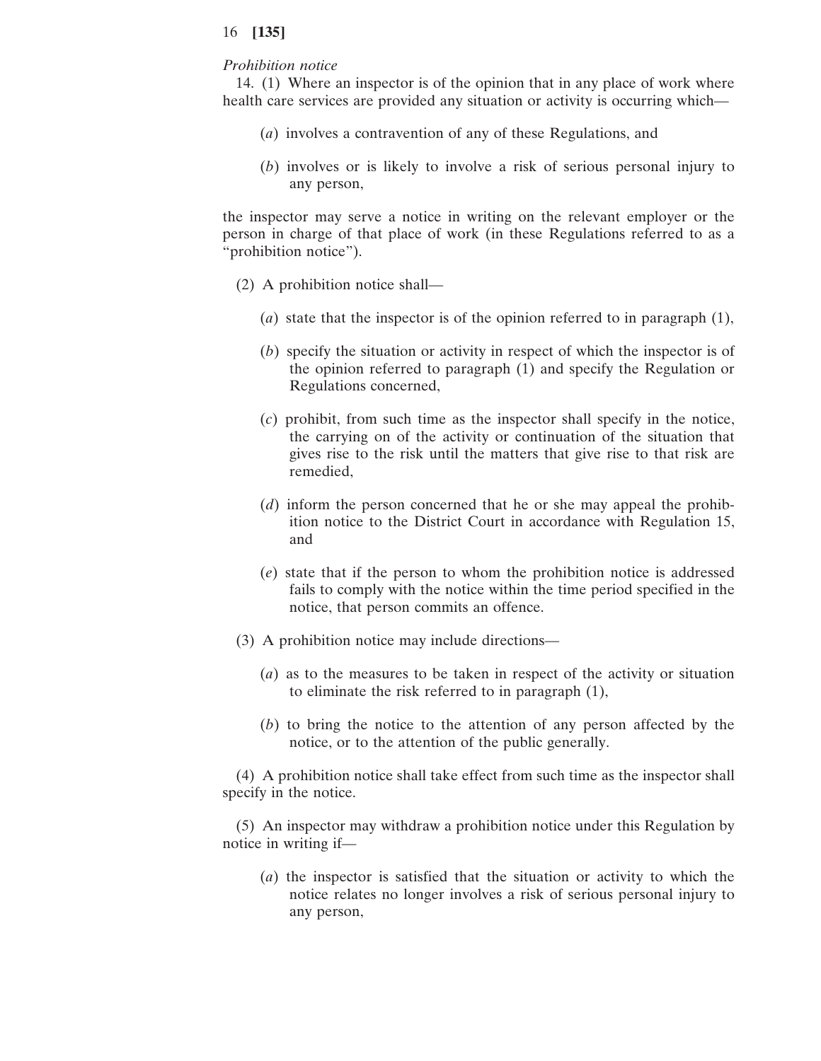#### *Prohibition notice*

14. (1) Where an inspector is of the opinion that in any place of work where health care services are provided any situation or activity is occurring which—

- (*a*) involves a contravention of any of these Regulations, and
- (*b*) involves or is likely to involve a risk of serious personal injury to any person,

the inspector may serve a notice in writing on the relevant employer or the person in charge of that place of work (in these Regulations referred to as a "prohibition notice").

- (2) A prohibition notice shall—
	- (*a*) state that the inspector is of the opinion referred to in paragraph (1),
	- (*b*) specify the situation or activity in respect of which the inspector is of the opinion referred to paragraph (1) and specify the Regulation or Regulations concerned,
	- (*c*) prohibit, from such time as the inspector shall specify in the notice, the carrying on of the activity or continuation of the situation that gives rise to the risk until the matters that give rise to that risk are remedied,
	- (*d*) inform the person concerned that he or she may appeal the prohibition notice to the District Court in accordance with Regulation 15, and
	- (*e*) state that if the person to whom the prohibition notice is addressed fails to comply with the notice within the time period specified in the notice, that person commits an offence.
- (3) A prohibition notice may include directions—
	- (*a*) as to the measures to be taken in respect of the activity or situation to eliminate the risk referred to in paragraph (1),
	- (*b*) to bring the notice to the attention of any person affected by the notice, or to the attention of the public generally.

(4) A prohibition notice shall take effect from such time as the inspector shall specify in the notice.

(5) An inspector may withdraw a prohibition notice under this Regulation by notice in writing if—

(*a*) the inspector is satisfied that the situation or activity to which the notice relates no longer involves a risk of serious personal injury to any person,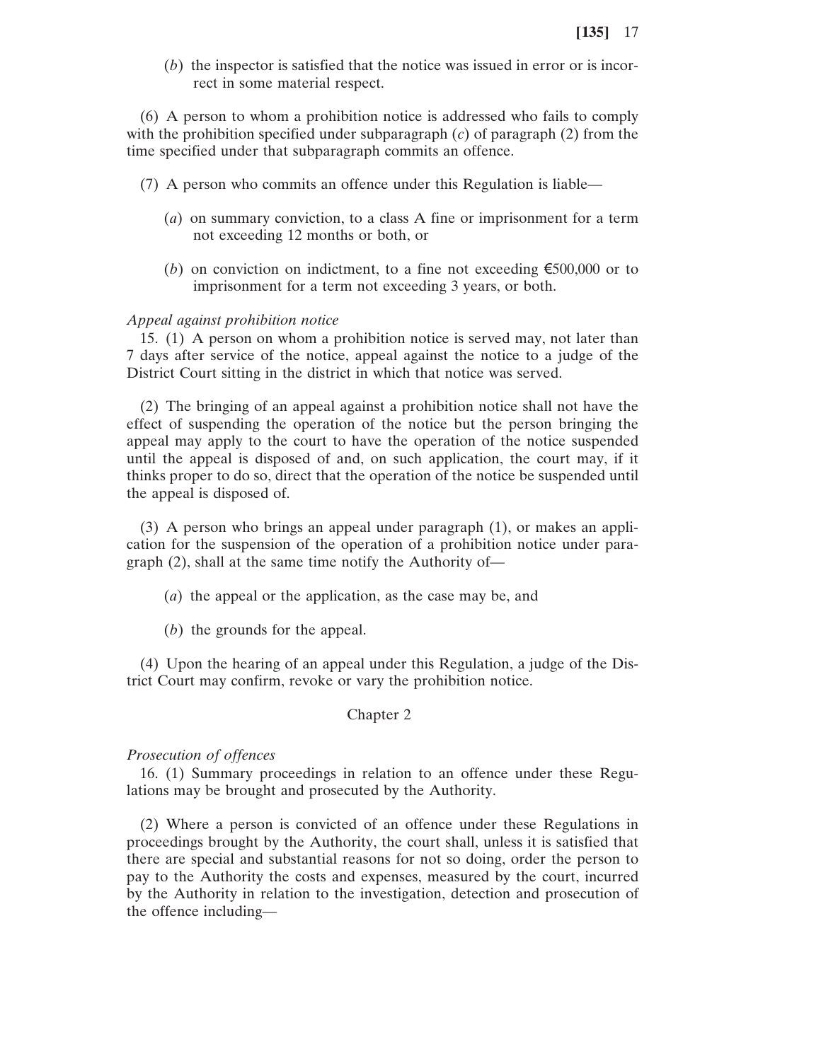(*b*) the inspector is satisfied that the notice was issued in error or is incorrect in some material respect.

(6) A person to whom a prohibition notice is addressed who fails to comply with the prohibition specified under subparagraph (*c*) of paragraph (2) from the time specified under that subparagraph commits an offence.

- (7) A person who commits an offence under this Regulation is liable—
	- (*a*) on summary conviction, to a class A fine or imprisonment for a term not exceeding 12 months or both, or
	- (*b*) on conviction on indictment, to a fine not exceeding  $\epsilon$ 500,000 or to imprisonment for a term not exceeding 3 years, or both.

#### *Appeal against prohibition notice*

15. (1) A person on whom a prohibition notice is served may, not later than 7 days after service of the notice, appeal against the notice to a judge of the District Court sitting in the district in which that notice was served.

(2) The bringing of an appeal against a prohibition notice shall not have the effect of suspending the operation of the notice but the person bringing the appeal may apply to the court to have the operation of the notice suspended until the appeal is disposed of and, on such application, the court may, if it thinks proper to do so, direct that the operation of the notice be suspended until the appeal is disposed of.

(3) A person who brings an appeal under paragraph (1), or makes an application for the suspension of the operation of a prohibition notice under paragraph (2), shall at the same time notify the Authority of—

(*a*) the appeal or the application, as the case may be, and

(*b*) the grounds for the appeal.

(4) Upon the hearing of an appeal under this Regulation, a judge of the District Court may confirm, revoke or vary the prohibition notice.

## Chapter 2

#### *Prosecution of offences*

16. (1) Summary proceedings in relation to an offence under these Regulations may be brought and prosecuted by the Authority.

(2) Where a person is convicted of an offence under these Regulations in proceedings brought by the Authority, the court shall, unless it is satisfied that there are special and substantial reasons for not so doing, order the person to pay to the Authority the costs and expenses, measured by the court, incurred by the Authority in relation to the investigation, detection and prosecution of the offence including—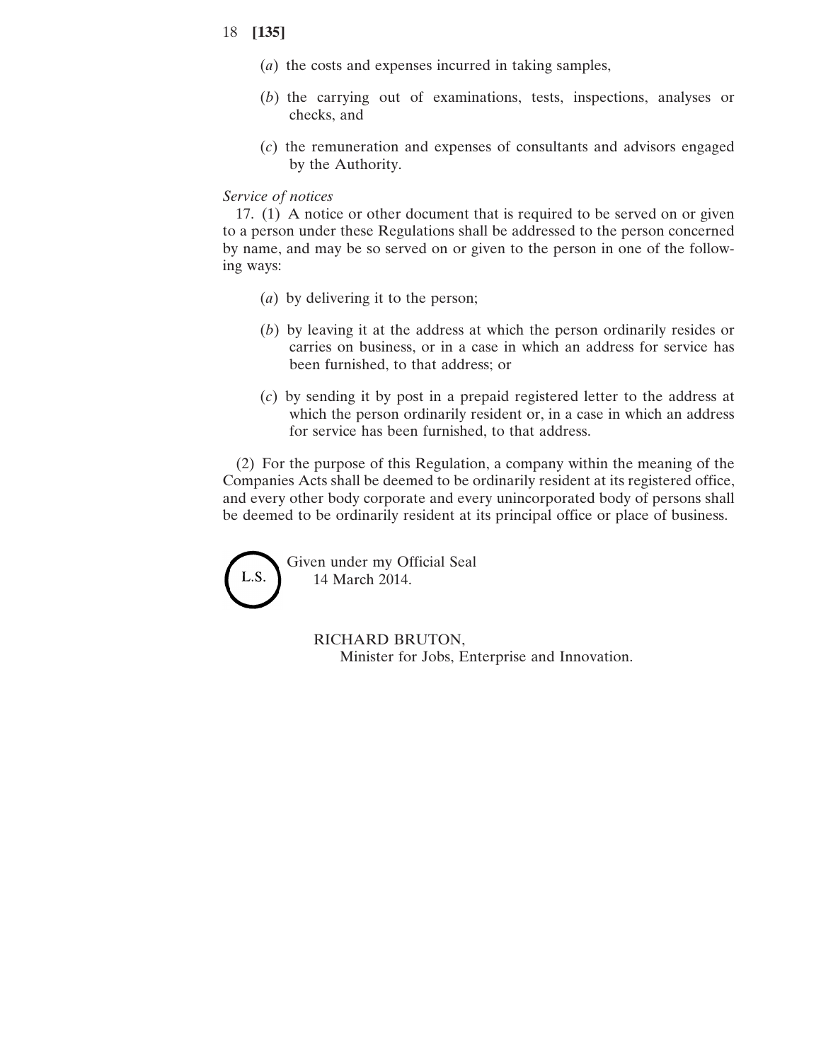- (*a*) the costs and expenses incurred in taking samples,
- (*b*) the carrying out of examinations, tests, inspections, analyses or checks, and
- (*c*) the remuneration and expenses of consultants and advisors engaged by the Authority.

## *Service of notices*

17. (1) A notice or other document that is required to be served on or given to a person under these Regulations shall be addressed to the person concerned by name, and may be so served on or given to the person in one of the following ways:

- (*a*) by delivering it to the person;
- (*b*) by leaving it at the address at which the person ordinarily resides or carries on business, or in a case in which an address for service has been furnished, to that address; or
- (*c*) by sending it by post in a prepaid registered letter to the address at which the person ordinarily resident or, in a case in which an address for service has been furnished, to that address.

(2) For the purpose of this Regulation, a company within the meaning of the Companies Acts shall be deemed to be ordinarily resident at its registered office, and every other body corporate and every unincorporated body of persons shall be deemed to be ordinarily resident at its principal office or place of business.



RICHARD BRUTON, Minister for Jobs, Enterprise and Innovation.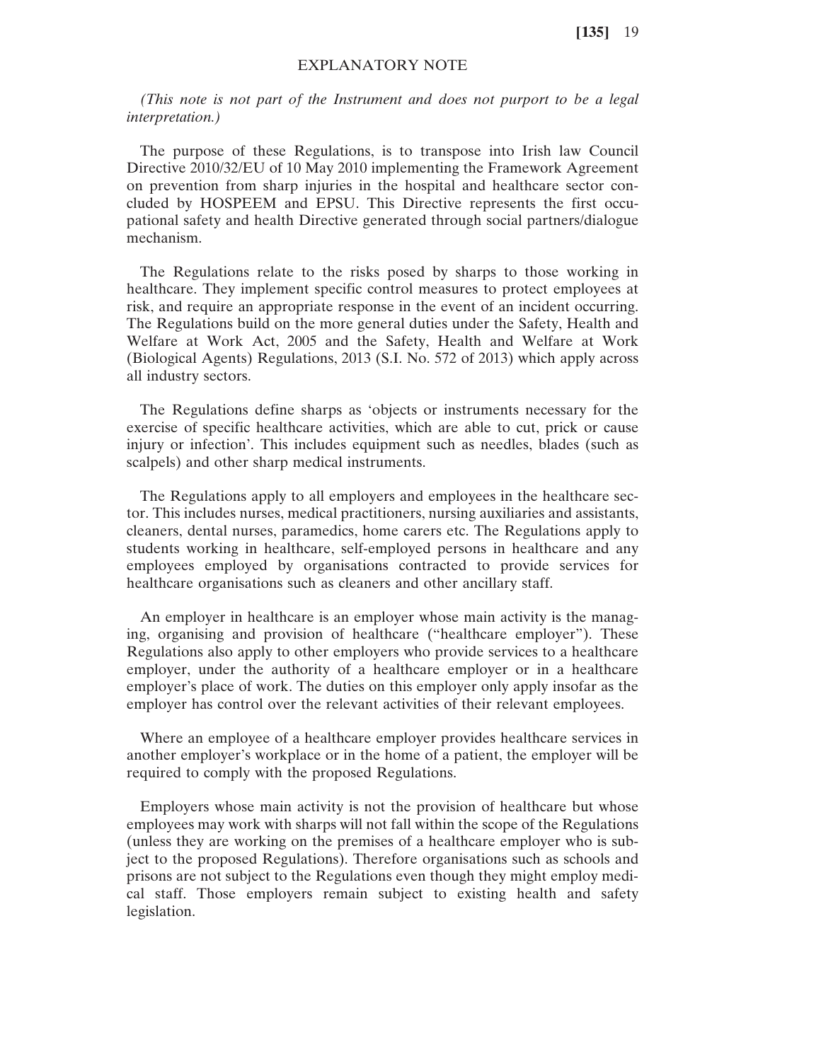# EXPLANATORY NOTE

*(This note is not part of the Instrument and does not purport to be a legal interpretation.)*

The purpose of these Regulations, is to transpose into Irish law Council Directive 2010/32/EU of 10 May 2010 implementing the Framework Agreement on prevention from sharp injuries in the hospital and healthcare sector concluded by HOSPEEM and EPSU. This Directive represents the first occupational safety and health Directive generated through social partners/dialogue mechanism.

The Regulations relate to the risks posed by sharps to those working in healthcare. They implement specific control measures to protect employees at risk, and require an appropriate response in the event of an incident occurring. The Regulations build on the more general duties under the Safety, Health and Welfare at Work Act, 2005 and the Safety, Health and Welfare at Work (Biological Agents) Regulations, 2013 (S.I. No. 572 of 2013) which apply across all industry sectors.

The Regulations define sharps as 'objects or instruments necessary for the exercise of specific healthcare activities, which are able to cut, prick or cause injury or infection'. This includes equipment such as needles, blades (such as scalpels) and other sharp medical instruments.

The Regulations apply to all employers and employees in the healthcare sector. This includes nurses, medical practitioners, nursing auxiliaries and assistants, cleaners, dental nurses, paramedics, home carers etc. The Regulations apply to students working in healthcare, self-employed persons in healthcare and any employees employed by organisations contracted to provide services for healthcare organisations such as cleaners and other ancillary staff.

An employer in healthcare is an employer whose main activity is the managing, organising and provision of healthcare ("healthcare employer"). These Regulations also apply to other employers who provide services to a healthcare employer, under the authority of a healthcare employer or in a healthcare employer's place of work. The duties on this employer only apply insofar as the employer has control over the relevant activities of their relevant employees.

Where an employee of a healthcare employer provides healthcare services in another employer's workplace or in the home of a patient, the employer will be required to comply with the proposed Regulations.

Employers whose main activity is not the provision of healthcare but whose employees may work with sharps will not fall within the scope of the Regulations (unless they are working on the premises of a healthcare employer who is subject to the proposed Regulations). Therefore organisations such as schools and prisons are not subject to the Regulations even though they might employ medical staff. Those employers remain subject to existing health and safety legislation.